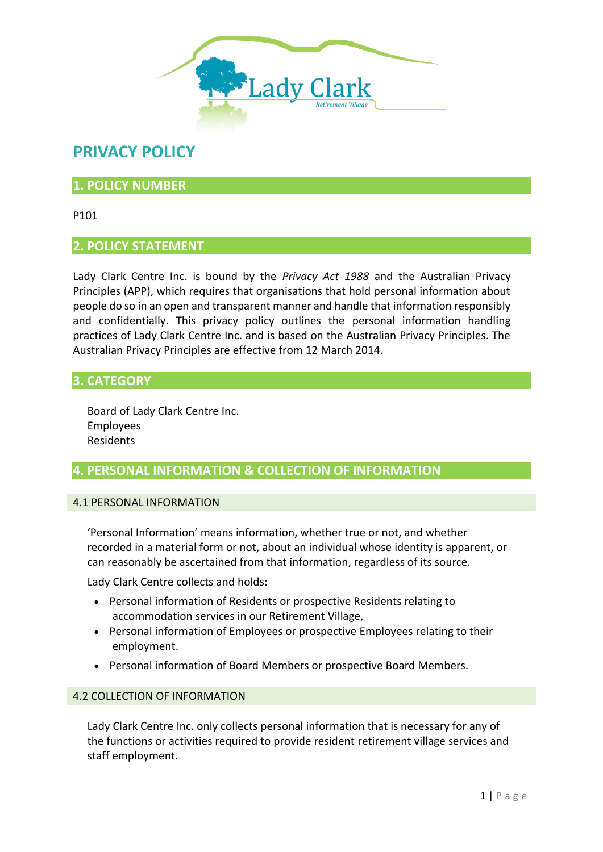

# **PRIVACY POLICY**

# **1. POLICY NUMBER**

P101

# **2. POLICY STATEMENT**

Lady Clark Centre Inc. is bound by the *Privacy Act 1988* and the Australian Privacy Principles (APP), which requires that organisations that hold personal information about people do so in an open and transparent manner and handle that information responsibly and confidentially. This privacy policy outlines the personal information handling practices of Lady Clark Centre Inc. and is based on the Australian Privacy Principles. The Australian Privacy Principles are effective from 12 March 2014.

# **3. CATEGORY**

Board of Lady Clark Centre Inc. Employees Residents

# **4. PERSONAL INFORMATION & COLLECTION OF INFORMATION**

#### 4.1 PERSONAL INFORMATION

'Personal Information' means information, whether true or not, and whether recorded in a material form or not, about an individual whose identity is apparent, or can reasonably be ascertained from that information, regardless of its source.

Lady Clark Centre collects and holds:

- Personal information of Residents or prospective Residents relating to accommodation services in our Retirement Village,
- Personal information of Employees or prospective Employees relating to their employment.
- Personal information of Board Members or prospective Board Members.

#### 4.2 COLLECTION OF INFORMATION

Lady Clark Centre Inc. only collects personal information that is necessary for any of the functions or activities required to provide resident retirement village services and staff employment.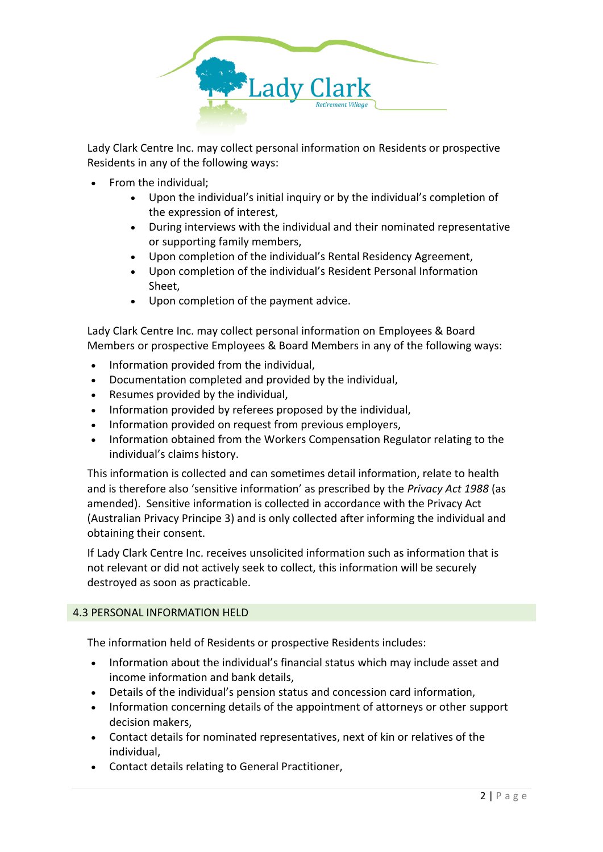

Lady Clark Centre Inc. may collect personal information on Residents or prospective Residents in any of the following ways:

- From the individual;
	- Upon the individual's initial inquiry or by the individual's completion of the expression of interest,
	- During interviews with the individual and their nominated representative or supporting family members,
	- Upon completion of the individual's Rental Residency Agreement,
	- Upon completion of the individual's Resident Personal Information Sheet,
	- Upon completion of the payment advice.

Lady Clark Centre Inc. may collect personal information on Employees & Board Members or prospective Employees & Board Members in any of the following ways:

- Information provided from the individual,
- Documentation completed and provided by the individual,
- Resumes provided by the individual,
- Information provided by referees proposed by the individual,
- Information provided on request from previous employers,
- Information obtained from the Workers Compensation Regulator relating to the individual's claims history.

This information is collected and can sometimes detail information, relate to health and is therefore also 'sensitive information' as prescribed by the *Privacy Act 1988* (as amended). Sensitive information is collected in accordance with the Privacy Act (Australian Privacy Principe 3) and is only collected after informing the individual and obtaining their consent.

If Lady Clark Centre Inc. receives unsolicited information such as information that is not relevant or did not actively seek to collect, this information will be securely destroyed as soon as practicable.

### 4.3 PERSONAL INFORMATION HELD

The information held of Residents or prospective Residents includes:

- Information about the individual's financial status which may include asset and income information and bank details,
- Details of the individual's pension status and concession card information,
- Information concerning details of the appointment of attorneys or other support decision makers,
- Contact details for nominated representatives, next of kin or relatives of the individual,
- Contact details relating to General Practitioner,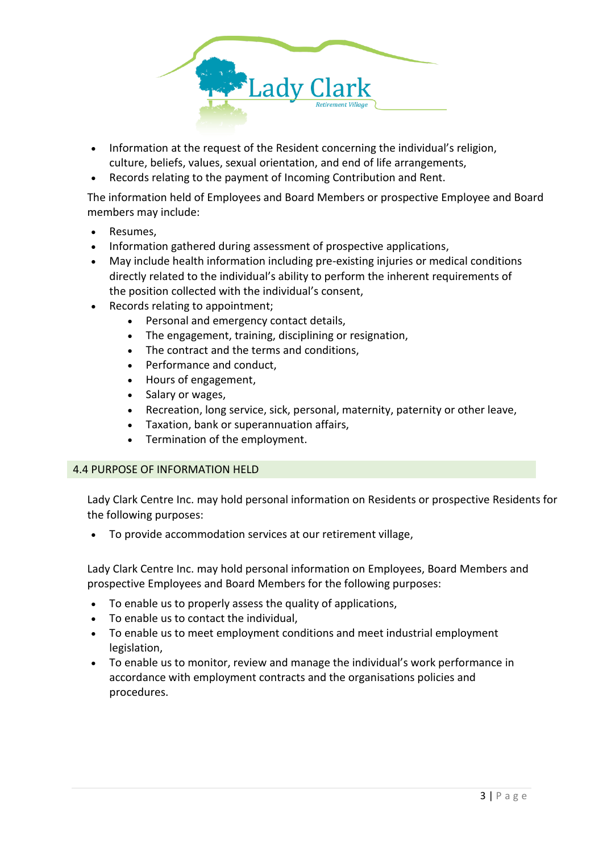

- Information at the request of the Resident concerning the individual's religion, culture, beliefs, values, sexual orientation, and end of life arrangements,
- Records relating to the payment of Incoming Contribution and Rent.

The information held of Employees and Board Members or prospective Employee and Board members may include:

- Resumes,
- Information gathered during assessment of prospective applications,
- May include health information including pre-existing injuries or medical conditions directly related to the individual's ability to perform the inherent requirements of the position collected with the individual's consent,
- Records relating to appointment;
	- Personal and emergency contact details,
	- The engagement, training, disciplining or resignation,
	- The contract and the terms and conditions,
	- Performance and conduct,
	- Hours of engagement,
	- Salary or wages,
	- Recreation, long service, sick, personal, maternity, paternity or other leave,
	- Taxation, bank or superannuation affairs,
	- Termination of the employment.

#### 4.4 PURPOSE OF INFORMATION HELD

Lady Clark Centre Inc. may hold personal information on Residents or prospective Residents for the following purposes:

• To provide accommodation services at our retirement village,

Lady Clark Centre Inc. may hold personal information on Employees, Board Members and prospective Employees and Board Members for the following purposes:

- To enable us to properly assess the quality of applications,
- To enable us to contact the individual,
- To enable us to meet employment conditions and meet industrial employment legislation,
- To enable us to monitor, review and manage the individual's work performance in accordance with employment contracts and the organisations policies and procedures.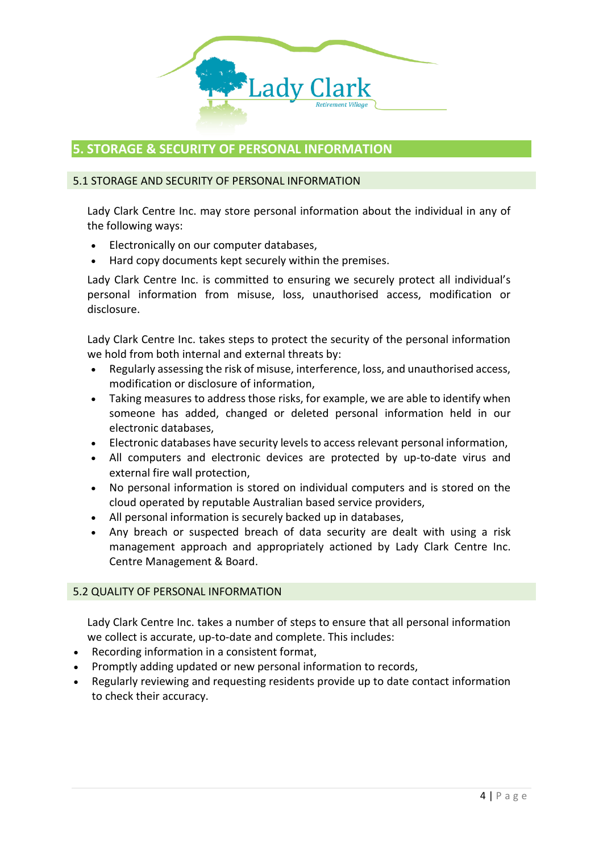

# **5. STORAGE & SECURITY OF PERSONAL INFORMATION**

#### 5.1 STORAGE AND SECURITY OF PERSONAL INFORMATION

Lady Clark Centre Inc. may store personal information about the individual in any of the following ways:

- Electronically on our computer databases,
- Hard copy documents kept securely within the premises.

Lady Clark Centre Inc. is committed to ensuring we securely protect all individual's personal information from misuse, loss, unauthorised access, modification or disclosure.

Lady Clark Centre Inc. takes steps to protect the security of the personal information we hold from both internal and external threats by:

- Regularly assessing the risk of misuse, interference, loss, and unauthorised access, modification or disclosure of information,
- Taking measures to address those risks, for example, we are able to identify when someone has added, changed or deleted personal information held in our electronic databases,
- Electronic databases have security levels to access relevant personal information,
- All computers and electronic devices are protected by up-to-date virus and external fire wall protection,
- No personal information is stored on individual computers and is stored on the cloud operated by reputable Australian based service providers,
- All personal information is securely backed up in databases,
- Any breach or suspected breach of data security are dealt with using a risk management approach and appropriately actioned by Lady Clark Centre Inc. Centre Management & Board.

#### 5.2 QUALITY OF PERSONAL INFORMATION

Lady Clark Centre Inc. takes a number of steps to ensure that all personal information we collect is accurate, up-to-date and complete. This includes:

- Recording information in a consistent format,
- Promptly adding updated or new personal information to records,
- Regularly reviewing and requesting residents provide up to date contact information to check their accuracy.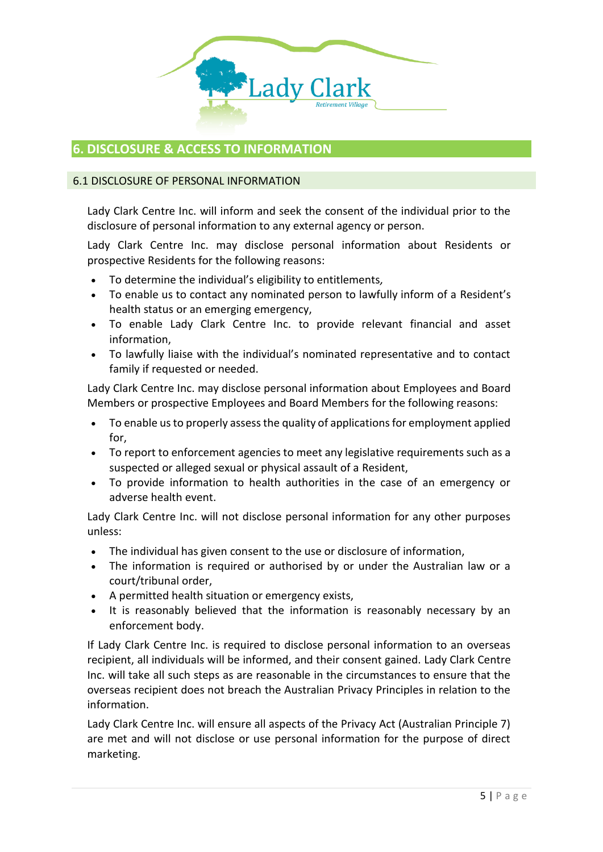

### **6. DISCLOSURE & ACCESS TO INFORMATION**

#### 6.1 DISCLOSURE OF PERSONAL INFORMATION

Lady Clark Centre Inc. will inform and seek the consent of the individual prior to the disclosure of personal information to any external agency or person.

Lady Clark Centre Inc. may disclose personal information about Residents or prospective Residents for the following reasons:

- To determine the individual's eligibility to entitlements*,*
- To enable us to contact any nominated person to lawfully inform of a Resident's health status or an emerging emergency,
- To enable Lady Clark Centre Inc. to provide relevant financial and asset information,
- To lawfully liaise with the individual's nominated representative and to contact family if requested or needed.

Lady Clark Centre Inc. may disclose personal information about Employees and Board Members or prospective Employees and Board Members for the following reasons:

- To enable us to properly assess the quality of applications for employment applied for,
- To report to enforcement agencies to meet any legislative requirements such as a suspected or alleged sexual or physical assault of a Resident,
- To provide information to health authorities in the case of an emergency or adverse health event.

Lady Clark Centre Inc. will not disclose personal information for any other purposes unless:

- The individual has given consent to the use or disclosure of information,
- The information is required or authorised by or under the Australian law or a court/tribunal order,
- A permitted health situation or emergency exists,
- It is reasonably believed that the information is reasonably necessary by an enforcement body.

If Lady Clark Centre Inc. is required to disclose personal information to an overseas recipient, all individuals will be informed, and their consent gained. Lady Clark Centre Inc. will take all such steps as are reasonable in the circumstances to ensure that the overseas recipient does not breach the Australian Privacy Principles in relation to the information.

Lady Clark Centre Inc. will ensure all aspects of the Privacy Act (Australian Principle 7) are met and will not disclose or use personal information for the purpose of direct marketing.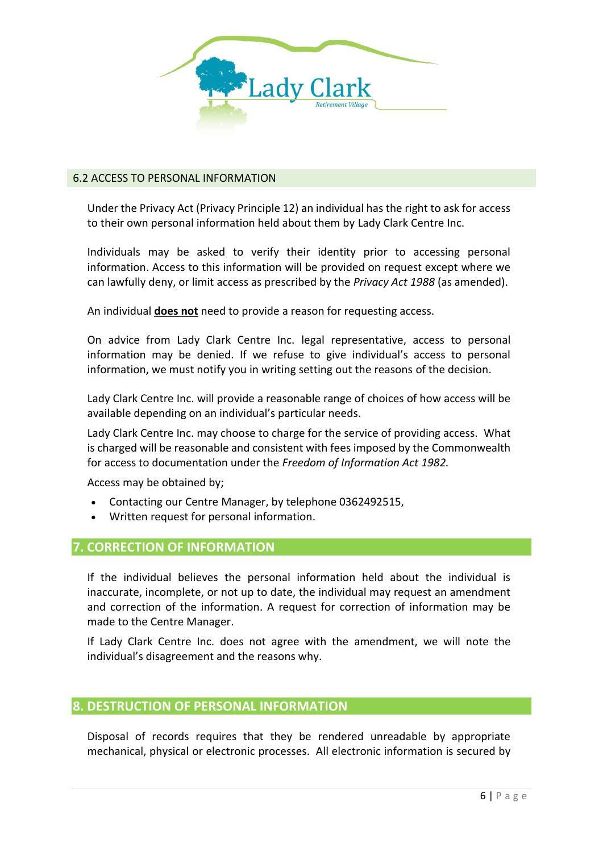

#### 6.2 ACCESS TO PERSONAL INFORMATION

Under the Privacy Act (Privacy Principle 12) an individual has the right to ask for access to their own personal information held about them by Lady Clark Centre Inc.

Individuals may be asked to verify their identity prior to accessing personal information. Access to this information will be provided on request except where we can lawfully deny, or limit access as prescribed by the *Privacy Act 1988* (as amended).

An individual **does not** need to provide a reason for requesting access.

On advice from Lady Clark Centre Inc. legal representative, access to personal information may be denied. If we refuse to give individual's access to personal information, we must notify you in writing setting out the reasons of the decision.

Lady Clark Centre Inc. will provide a reasonable range of choices of how access will be available depending on an individual's particular needs.

Lady Clark Centre Inc. may choose to charge for the service of providing access. What is charged will be reasonable and consistent with fees imposed by the Commonwealth for access to documentation under the *Freedom of Information Act 1982.*

Access may be obtained by;

- Contacting our Centre Manager, by telephone 0362492515,
- Written request for personal information.

#### **7. CORRECTION OF INFORMATION**

If the individual believes the personal information held about the individual is inaccurate, incomplete, or not up to date, the individual may request an amendment and correction of the information. A request for correction of information may be made to the Centre Manager.

If Lady Clark Centre Inc. does not agree with the amendment, we will note the individual's disagreement and the reasons why.

### **8. DESTRUCTION OF PERSONAL INFORMATION**

Disposal of records requires that they be rendered unreadable by appropriate mechanical, physical or electronic processes. All electronic information is secured by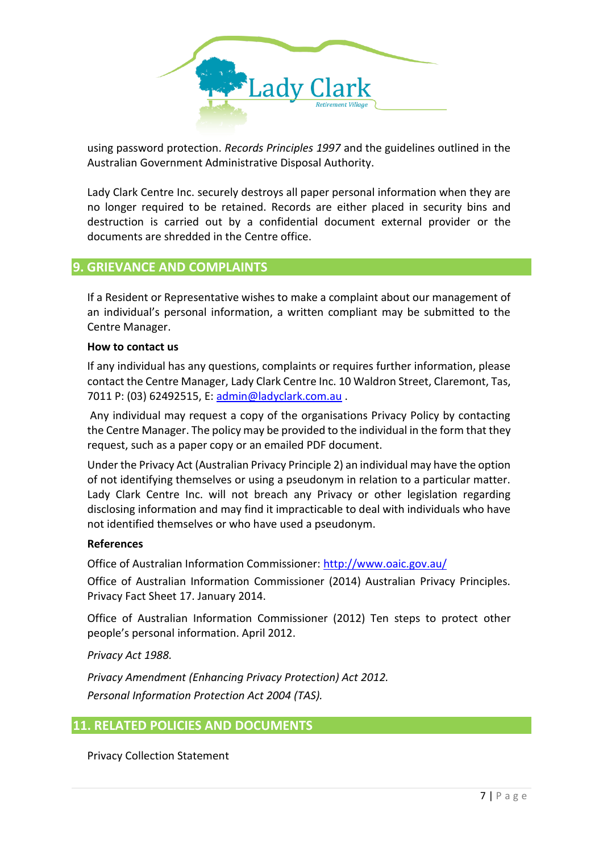

using password protection. *Records Principles 1997* and the guidelines outlined in the Australian Government Administrative Disposal Authority.

Lady Clark Centre Inc. securely destroys all paper personal information when they are no longer required to be retained. Records are either placed in security bins and destruction is carried out by a confidential document external provider or the documents are shredded in the Centre office.

### **9. GRIEVANCE AND COMPLAINTS**

If a Resident or Representative wishes to make a complaint about our management of an individual's personal information, a written compliant may be submitted to the Centre Manager.

#### **How to contact us**

If any individual has any questions, complaints or requires further information, please contact the Centre Manager, Lady Clark Centre Inc. 10 Waldron Street, Claremont, Tas, 7011 P: (03) 62492515, E: [admin@ladyclark.com.au](mailto:admin@ladyclark.com.au) .

Any individual may request a copy of the organisations Privacy Policy by contacting the Centre Manager. The policy may be provided to the individual in the form that they request, such as a paper copy or an emailed PDF document.

Under the Privacy Act (Australian Privacy Principle 2) an individual may have the option of not identifying themselves or using a pseudonym in relation to a particular matter. Lady Clark Centre Inc. will not breach any Privacy or other legislation regarding disclosing information and may find it impracticable to deal with individuals who have not identified themselves or who have used a pseudonym.

#### **References**

Office of Australian Information Commissioner:<http://www.oaic.gov.au/>

Office of Australian Information Commissioner (2014) Australian Privacy Principles. Privacy Fact Sheet 17. January 2014.

Office of Australian Information Commissioner (2012) Ten steps to protect other people's personal information. April 2012.

*Privacy Act 1988.*

*Privacy Amendment (Enhancing Privacy Protection) Act 2012. Personal Information Protection Act 2004 (TAS).*

### **11. RELATED POLICIES AND DOCUMENTS**

Privacy Collection Statement